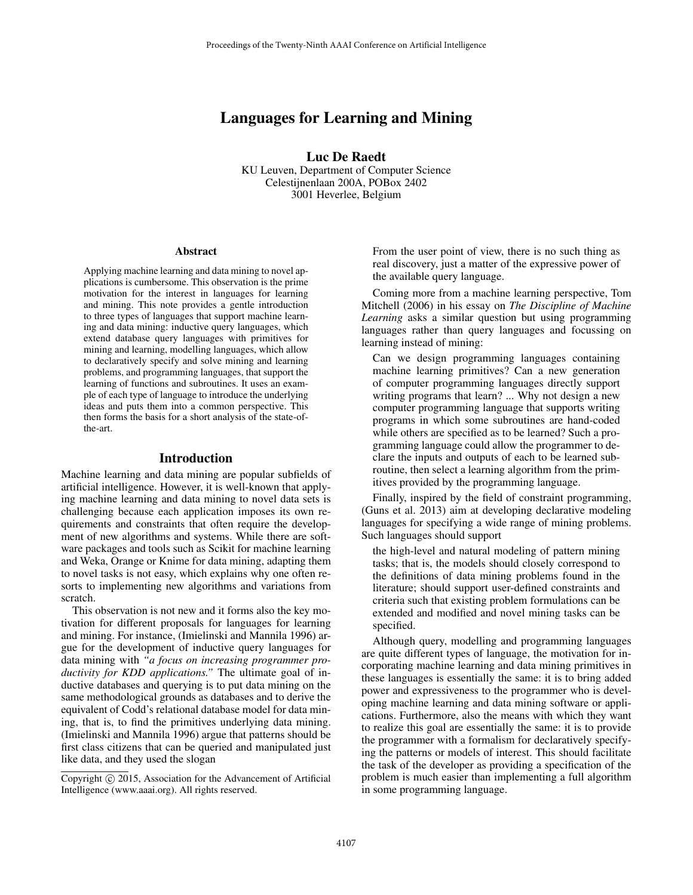# Languages for Learning and Mining

Luc De Raedt

KU Leuven, Department of Computer Science Celestijnenlaan 200A, POBox 2402 3001 Heverlee, Belgium

#### Abstract

Applying machine learning and data mining to novel applications is cumbersome. This observation is the prime motivation for the interest in languages for learning and mining. This note provides a gentle introduction to three types of languages that support machine learning and data mining: inductive query languages, which extend database query languages with primitives for mining and learning, modelling languages, which allow to declaratively specify and solve mining and learning problems, and programming languages, that support the learning of functions and subroutines. It uses an example of each type of language to introduce the underlying ideas and puts them into a common perspective. This then forms the basis for a short analysis of the state-ofthe-art.

#### Introduction

Machine learning and data mining are popular subfields of artificial intelligence. However, it is well-known that applying machine learning and data mining to novel data sets is challenging because each application imposes its own requirements and constraints that often require the development of new algorithms and systems. While there are software packages and tools such as Scikit for machine learning and Weka, Orange or Knime for data mining, adapting them to novel tasks is not easy, which explains why one often resorts to implementing new algorithms and variations from scratch.

This observation is not new and it forms also the key motivation for different proposals for languages for learning and mining. For instance, (Imielinski and Mannila 1996) argue for the development of inductive query languages for data mining with *"a focus on increasing programmer productivity for KDD applications."* The ultimate goal of inductive databases and querying is to put data mining on the same methodological grounds as databases and to derive the equivalent of Codd's relational database model for data mining, that is, to find the primitives underlying data mining. (Imielinski and Mannila 1996) argue that patterns should be first class citizens that can be queried and manipulated just like data, and they used the slogan

From the user point of view, there is no such thing as real discovery, just a matter of the expressive power of the available query language.

Coming more from a machine learning perspective, Tom Mitchell (2006) in his essay on *The Discipline of Machine Learning* asks a similar question but using programming languages rather than query languages and focussing on learning instead of mining:

Can we design programming languages containing machine learning primitives? Can a new generation of computer programming languages directly support writing programs that learn? ... Why not design a new computer programming language that supports writing programs in which some subroutines are hand-coded while others are specified as to be learned? Such a programming language could allow the programmer to declare the inputs and outputs of each to be learned subroutine, then select a learning algorithm from the primitives provided by the programming language.

Finally, inspired by the field of constraint programming, (Guns et al. 2013) aim at developing declarative modeling languages for specifying a wide range of mining problems. Such languages should support

the high-level and natural modeling of pattern mining tasks; that is, the models should closely correspond to the definitions of data mining problems found in the literature; should support user-defined constraints and criteria such that existing problem formulations can be extended and modified and novel mining tasks can be specified.

Although query, modelling and programming languages are quite different types of language, the motivation for incorporating machine learning and data mining primitives in these languages is essentially the same: it is to bring added power and expressiveness to the programmer who is developing machine learning and data mining software or applications. Furthermore, also the means with which they want to realize this goal are essentially the same: it is to provide the programmer with a formalism for declaratively specifying the patterns or models of interest. This should facilitate the task of the developer as providing a specification of the problem is much easier than implementing a full algorithm in some programming language.

Copyright  $\odot$  2015, Association for the Advancement of Artificial Intelligence (www.aaai.org). All rights reserved.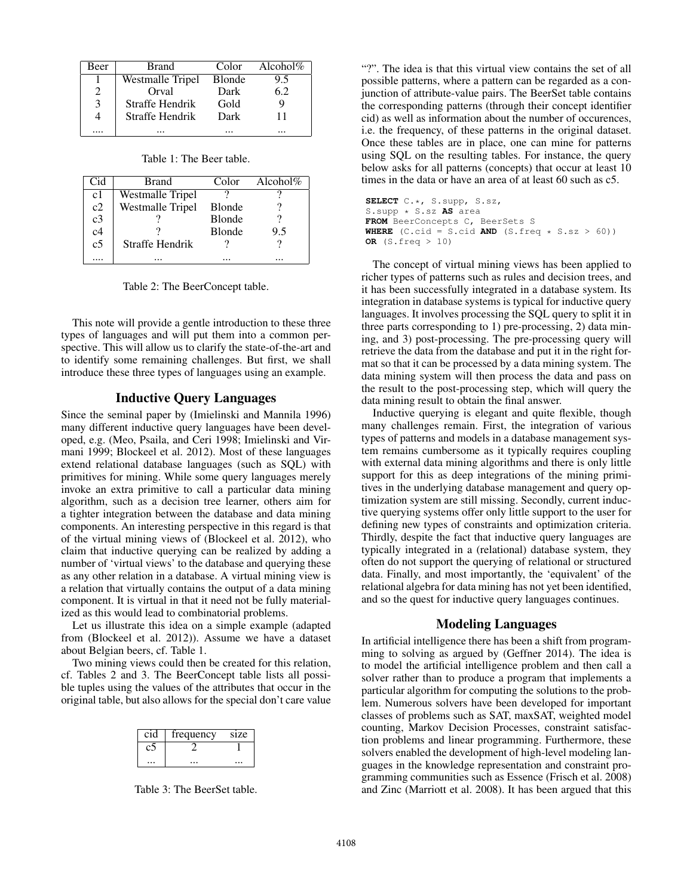| Beer          | Brand            | Color         | Alcohol $%$ |
|---------------|------------------|---------------|-------------|
|               | Westmalle Tripel | <b>Blonde</b> | 9.5         |
| 2             | Orval            | Dark          | 6.2         |
| $\mathcal{E}$ | Straffe Hendrik  | Gold          |             |
|               | Straffe Hendrik  | Dark          | 11          |
|               |                  |               |             |

Table 1: The Beer table.

| Cid            | Brand                   | Color         | Alcohol $%$ |
|----------------|-------------------------|---------------|-------------|
| c <sub>1</sub> | Westmalle Tripel        |               |             |
| c2             | <b>Westmalle Tripel</b> | <b>Blonde</b> |             |
| c <sub>3</sub> |                         | <b>Blonde</b> |             |
| c4             |                         | <b>Blonde</b> | 9.5         |
| c <sub>5</sub> | Straffe Hendrik         |               |             |
|                |                         |               |             |

Table 2: The BeerConcept table.

This note will provide a gentle introduction to these three types of languages and will put them into a common perspective. This will allow us to clarify the state-of-the-art and to identify some remaining challenges. But first, we shall introduce these three types of languages using an example.

## Inductive Query Languages

Since the seminal paper by (Imielinski and Mannila 1996) many different inductive query languages have been developed, e.g. (Meo, Psaila, and Ceri 1998; Imielinski and Virmani 1999; Blockeel et al. 2012). Most of these languages extend relational database languages (such as SQL) with primitives for mining. While some query languages merely invoke an extra primitive to call a particular data mining algorithm, such as a decision tree learner, others aim for a tighter integration between the database and data mining components. An interesting perspective in this regard is that of the virtual mining views of (Blockeel et al. 2012), who claim that inductive querying can be realized by adding a number of 'virtual views' to the database and querying these as any other relation in a database. A virtual mining view is a relation that virtually contains the output of a data mining component. It is virtual in that it need not be fully materialized as this would lead to combinatorial problems.

Let us illustrate this idea on a simple example (adapted from (Blockeel et al. 2012)). Assume we have a dataset about Belgian beers, cf. Table 1.

Two mining views could then be created for this relation, cf. Tables 2 and 3. The BeerConcept table lists all possible tuples using the values of the attributes that occur in the original table, but also allows for the special don't care value

| cid | frequency | size |
|-----|-----------|------|
|     |           |      |
|     |           |      |

Table 3: The BeerSet table.

"?". The idea is that this virtual view contains the set of all possible patterns, where a pattern can be regarded as a conjunction of attribute-value pairs. The BeerSet table contains the corresponding patterns (through their concept identifier cid) as well as information about the number of occurences, i.e. the frequency, of these patterns in the original dataset. Once these tables are in place, one can mine for patterns using SQL on the resulting tables. For instance, the query below asks for all patterns (concepts) that occur at least 10 times in the data or have an area of at least 60 such as c5.

```
SELECT C.*, S.supp, S.sz,
S.supp * S.sz AS area
FROM BeerConcepts C, BeerSets S
WHERE (C.cid = S.cid AND (S.freq * S.sz > 60))
OR (S.freq > 10)
```
The concept of virtual mining views has been applied to richer types of patterns such as rules and decision trees, and it has been successfully integrated in a database system. Its integration in database systems is typical for inductive query languages. It involves processing the SQL query to split it in three parts corresponding to 1) pre-processing, 2) data mining, and 3) post-processing. The pre-processing query will retrieve the data from the database and put it in the right format so that it can be processed by a data mining system. The data mining system will then process the data and pass on the result to the post-processing step, which will query the data mining result to obtain the final answer.

Inductive querying is elegant and quite flexible, though many challenges remain. First, the integration of various types of patterns and models in a database management system remains cumbersome as it typically requires coupling with external data mining algorithms and there is only little support for this as deep integrations of the mining primitives in the underlying database management and query optimization system are still missing. Secondly, current inductive querying systems offer only little support to the user for defining new types of constraints and optimization criteria. Thirdly, despite the fact that inductive query languages are typically integrated in a (relational) database system, they often do not support the querying of relational or structured data. Finally, and most importantly, the 'equivalent' of the relational algebra for data mining has not yet been identified, and so the quest for inductive query languages continues.

## Modeling Languages

In artificial intelligence there has been a shift from programming to solving as argued by (Geffner 2014). The idea is to model the artificial intelligence problem and then call a solver rather than to produce a program that implements a particular algorithm for computing the solutions to the problem. Numerous solvers have been developed for important classes of problems such as SAT, maxSAT, weighted model counting, Markov Decision Processes, constraint satisfaction problems and linear programming. Furthermore, these solvers enabled the development of high-level modeling languages in the knowledge representation and constraint programming communities such as Essence (Frisch et al. 2008) and Zinc (Marriott et al. 2008). It has been argued that this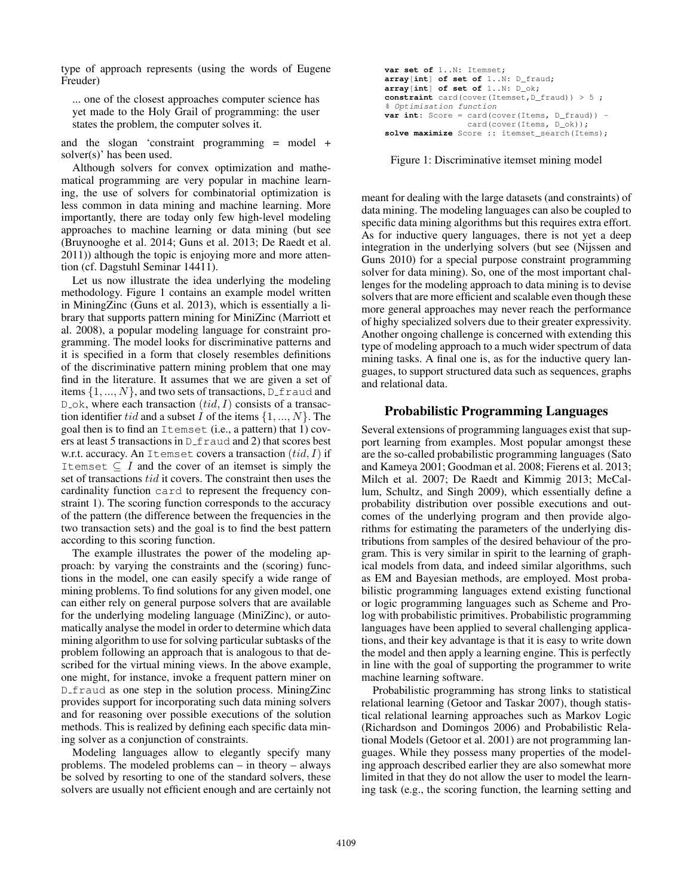type of approach represents (using the words of Eugene Freuder)

... one of the closest approaches computer science has yet made to the Holy Grail of programming: the user states the problem, the computer solves it.

and the slogan 'constraint programming = model + solver(s)' has been used.

Although solvers for convex optimization and mathematical programming are very popular in machine learning, the use of solvers for combinatorial optimization is less common in data mining and machine learning. More importantly, there are today only few high-level modeling approaches to machine learning or data mining (but see (Bruynooghe et al. 2014; Guns et al. 2013; De Raedt et al. 2011)) although the topic is enjoying more and more attention (cf. Dagstuhl Seminar 14411).

Let us now illustrate the idea underlying the modeling methodology. Figure 1 contains an example model written in MiningZinc (Guns et al. 2013), which is essentially a library that supports pattern mining for MiniZinc (Marriott et al. 2008), a popular modeling language for constraint programming. The model looks for discriminative patterns and it is specified in a form that closely resembles definitions of the discriminative pattern mining problem that one may find in the literature. It assumes that we are given a set of items  $\{1, ..., N\}$ , and two sets of transactions, D\_f raud and  $D_{\mathcal{A}}$ , where each transaction  $(tid, I)$  consists of a transaction identifier tid and a subset I of the items  $\{1, ..., N\}$ . The goal then is to find an Itemset (i.e., a pattern) that 1) covers at least 5 transactions in D\_f raud and 2) that scores best w.r.t. accuracy. An Itemset covers a transaction  $(tid, I)$  if Itemset  $\subseteq$  *I* and the cover of an itemset is simply the set of transactions tid it covers. The constraint then uses the cardinality function card to represent the frequency constraint 1). The scoring function corresponds to the accuracy of the pattern (the difference between the frequencies in the two transaction sets) and the goal is to find the best pattern according to this scoring function.

The example illustrates the power of the modeling approach: by varying the constraints and the (scoring) functions in the model, one can easily specify a wide range of mining problems. To find solutions for any given model, one can either rely on general purpose solvers that are available for the underlying modeling language (MiniZinc), or automatically analyse the model in order to determine which data mining algorithm to use for solving particular subtasks of the problem following an approach that is analogous to that described for the virtual mining views. In the above example, one might, for instance, invoke a frequent pattern miner on D<sub>-fraud</sub> as one step in the solution process. MiningZinc provides support for incorporating such data mining solvers and for reasoning over possible executions of the solution methods. This is realized by defining each specific data mining solver as a conjunction of constraints.

Modeling languages allow to elegantly specify many problems. The modeled problems can – in theory – always be solved by resorting to one of the standard solvers, these solvers are usually not efficient enough and are certainly not

| var set of 1N: Itemset;                                         |
|-----------------------------------------------------------------|
| $array(int]$ of set of $1N:$ D fraud;                           |
| $array(int]$ of set of $1N: D ok;$                              |
| constraint card (cover (Itemset, $D_{\text{frac}}(x) > 5$ ;     |
| % Optimisation function                                         |
| <b>var int:</b> Score = card(cover(Items, $D_{\text{frac}}$ ) - |
| card(cover(Items, D_ok));                                       |
| solve maximize Score :: itemset search (Items);                 |

Figure 1: Discriminative itemset mining model

meant for dealing with the large datasets (and constraints) of data mining. The modeling languages can also be coupled to specific data mining algorithms but this requires extra effort. As for inductive query languages, there is not yet a deep integration in the underlying solvers (but see (Nijssen and Guns 2010) for a special purpose constraint programming solver for data mining). So, one of the most important challenges for the modeling approach to data mining is to devise solvers that are more efficient and scalable even though these more general approaches may never reach the performance of highy specialized solvers due to their greater expressivity. Another ongoing challenge is concerned with extending this type of modeling approach to a much wider spectrum of data mining tasks. A final one is, as for the inductive query languages, to support structured data such as sequences, graphs and relational data.

## Probabilistic Programming Languages

Several extensions of programming languages exist that support learning from examples. Most popular amongst these are the so-called probabilistic programming languages (Sato and Kameya 2001; Goodman et al. 2008; Fierens et al. 2013; Milch et al. 2007; De Raedt and Kimmig 2013; McCallum, Schultz, and Singh 2009), which essentially define a probability distribution over possible executions and outcomes of the underlying program and then provide algorithms for estimating the parameters of the underlying distributions from samples of the desired behaviour of the program. This is very similar in spirit to the learning of graphical models from data, and indeed similar algorithms, such as EM and Bayesian methods, are employed. Most probabilistic programming languages extend existing functional or logic programming languages such as Scheme and Prolog with probabilistic primitives. Probabilistic programming languages have been applied to several challenging applications, and their key advantage is that it is easy to write down the model and then apply a learning engine. This is perfectly in line with the goal of supporting the programmer to write machine learning software.

Probabilistic programming has strong links to statistical relational learning (Getoor and Taskar 2007), though statistical relational learning approaches such as Markov Logic (Richardson and Domingos 2006) and Probabilistic Relational Models (Getoor et al. 2001) are not programming languages. While they possess many properties of the modeling approach described earlier they are also somewhat more limited in that they do not allow the user to model the learning task (e.g., the scoring function, the learning setting and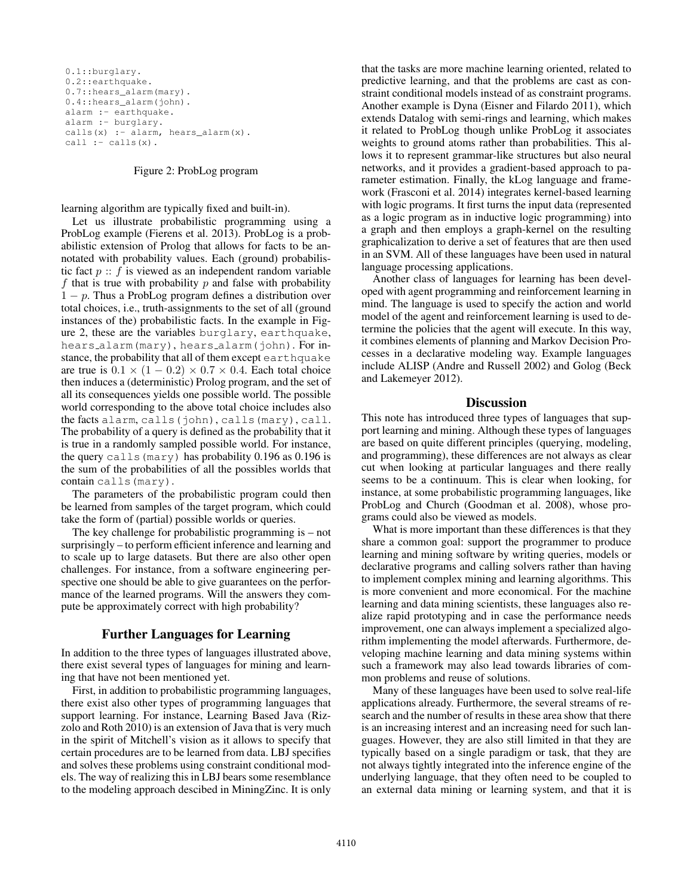```
0.1::burglary.
0.2::earthquake.
0.7::hears_alarm(mary).
0.4::hears alarm(john).
alarm :- earthquake.
alarm :- burglary.
calls(x) :- alarm, hears alarm(x).
call := calls(x).
```
#### Figure 2: ProbLog program

learning algorithm are typically fixed and built-in).

Let us illustrate probabilistic programming using a ProbLog example (Fierens et al. 2013). ProbLog is a probabilistic extension of Prolog that allows for facts to be annotated with probability values. Each (ground) probabilistic fact  $p$ : f is viewed as an independent random variable f that is true with probability  $p$  and false with probability  $1 - p$ . Thus a ProbLog program defines a distribution over total choices, i.e., truth-assignments to the set of all (ground instances of the) probabilistic facts. In the example in Figure 2, these are the variables burglary, earthquake, hears alarm(mary), hears alarm(john). For instance, the probability that all of them except earthquake are true is  $0.1 \times (1 - 0.2) \times 0.7 \times 0.4$ . Each total choice then induces a (deterministic) Prolog program, and the set of all its consequences yields one possible world. The possible world corresponding to the above total choice includes also the facts alarm, calls(john), calls(mary), call. The probability of a query is defined as the probability that it is true in a randomly sampled possible world. For instance, the query calls (mary) has probability 0.196 as 0.196 is the sum of the probabilities of all the possibles worlds that contain calls(mary).

The parameters of the probabilistic program could then be learned from samples of the target program, which could take the form of (partial) possible worlds or queries.

The key challenge for probabilistic programming is – not surprisingly – to perform efficient inference and learning and to scale up to large datasets. But there are also other open challenges. For instance, from a software engineering perspective one should be able to give guarantees on the performance of the learned programs. Will the answers they compute be approximately correct with high probability?

# Further Languages for Learning

In addition to the three types of languages illustrated above, there exist several types of languages for mining and learning that have not been mentioned yet.

First, in addition to probabilistic programming languages, there exist also other types of programming languages that support learning. For instance, Learning Based Java (Rizzolo and Roth 2010) is an extension of Java that is very much in the spirit of Mitchell's vision as it allows to specify that certain procedures are to be learned from data. LBJ specifies and solves these problems using constraint conditional models. The way of realizing this in LBJ bears some resemblance to the modeling approach descibed in MiningZinc. It is only

that the tasks are more machine learning oriented, related to predictive learning, and that the problems are cast as constraint conditional models instead of as constraint programs. Another example is Dyna (Eisner and Filardo 2011), which extends Datalog with semi-rings and learning, which makes it related to ProbLog though unlike ProbLog it associates weights to ground atoms rather than probabilities. This allows it to represent grammar-like structures but also neural networks, and it provides a gradient-based approach to parameter estimation. Finally, the kLog language and framework (Frasconi et al. 2014) integrates kernel-based learning with logic programs. It first turns the input data (represented as a logic program as in inductive logic programming) into a graph and then employs a graph-kernel on the resulting graphicalization to derive a set of features that are then used in an SVM. All of these languages have been used in natural language processing applications.

Another class of languages for learning has been developed with agent programming and reinforcement learning in mind. The language is used to specify the action and world model of the agent and reinforcement learning is used to determine the policies that the agent will execute. In this way, it combines elements of planning and Markov Decision Processes in a declarative modeling way. Example languages include ALISP (Andre and Russell 2002) and Golog (Beck and Lakemeyer 2012).

#### **Discussion**

This note has introduced three types of languages that support learning and mining. Although these types of languages are based on quite different principles (querying, modeling, and programming), these differences are not always as clear cut when looking at particular languages and there really seems to be a continuum. This is clear when looking, for instance, at some probabilistic programming languages, like ProbLog and Church (Goodman et al. 2008), whose programs could also be viewed as models.

What is more important than these differences is that they share a common goal: support the programmer to produce learning and mining software by writing queries, models or declarative programs and calling solvers rather than having to implement complex mining and learning algorithms. This is more convenient and more economical. For the machine learning and data mining scientists, these languages also realize rapid prototyping and in case the performance needs improvement, one can always implement a specialized algorithm implementing the model afterwards. Furthermore, developing machine learning and data mining systems within such a framework may also lead towards libraries of common problems and reuse of solutions.

Many of these languages have been used to solve real-life applications already. Furthermore, the several streams of research and the number of results in these area show that there is an increasing interest and an increasing need for such languages. However, they are also still limited in that they are typically based on a single paradigm or task, that they are not always tightly integrated into the inference engine of the underlying language, that they often need to be coupled to an external data mining or learning system, and that it is